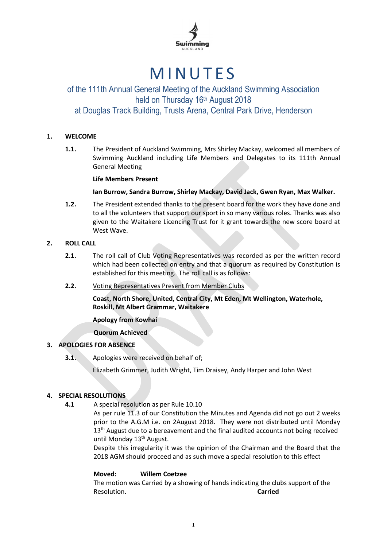

# MINUTES

## of the 111th Annual General Meeting of the Auckland Swimming Association held on Thursday 16<sup>th</sup> August 2018

## at Douglas Track Building, Trusts Arena, Central Park Drive, Henderson

#### **1. WELCOME**

**1.1.** The President of Auckland Swimming, Mrs Shirley Mackay, welcomed all members of Swimming Auckland including Life Members and Delegates to its 111th Annual General Meeting

#### **Life Members Present**

#### **Ian Burrow, Sandra Burrow, Shirley Mackay, David Jack, Gwen Ryan, Max Walker.**

**1.2.** The President extended thanks to the present board for the work they have done and to all the volunteers that support our sport in so many various roles. Thanks was also given to the Waitakere Licencing Trust for it grant towards the new score board at West Wave.

#### **2. ROLL CALL**

- **2.1.** The roll call of Club Voting Representatives was recorded as per the written record which had been collected on entry and that a quorum as required by Constitution is established for this meeting. The roll call is as follows:
- **2.2.** Voting Representatives Present from Member Clubs

**Coast, North Shore, United, Central City, Mt Eden, Mt Wellington, Waterhole, Roskill, Mt Albert Grammar, Waitakere**

#### **Apology from Kowhai**

**Quorum Achieved**

#### **3. APOLOGIES FOR ABSENCE**

**3.1.** Apologies were received on behalf of;

Elizabeth Grimmer, Judith Wright, Tim Draisey, Andy Harper and John West

#### **4. SPECIAL RESOLUTIONS**

**4.1** A special resolution as per Rule 10.10

As per rule 11.3 of our Constitution the Minutes and Agenda did not go out 2 weeks prior to the A.G.M i.e. on 2August 2018. They were not distributed until Monday 13<sup>th</sup> August due to a bereavement and the final audited accounts not being received until Monday 13<sup>th</sup> August.

Despite this irregularity it was the opinion of the Chairman and the Board that the 2018 AGM should proceed and as such move a special resolution to this effect

#### **Moved: Willem Coetzee**

The motion was Carried by a showing of hands indicating the clubs support of the Resolution. **Carried**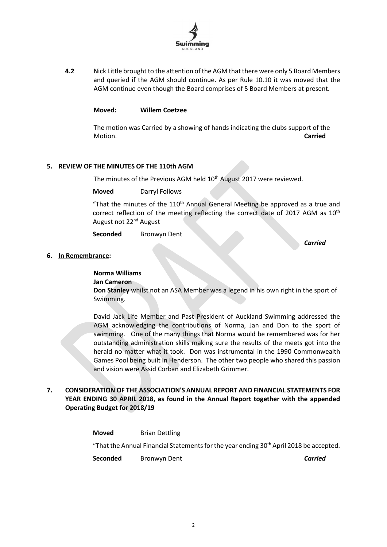

**4.2** Nick Little brought to the attention of the AGM that there were only 5 Board Members and queried if the AGM should continue. As per Rule 10.10 it was moved that the AGM continue even though the Board comprises of 5 Board Members at present.

#### **Moved: Willem Coetzee**

The motion was Carried by a showing of hands indicating the clubs support of the Motion. **Carried**

#### **5. REVIEW OF THE MINUTES OF THE 110th AGM**

The minutes of the Previous AGM held 10<sup>th</sup> August 2017 were reviewed.

**Moved** Darryl Follows

"That the minutes of the  $110<sup>th</sup>$  Annual General Meeting be approved as a true and correct reflection of the meeting reflecting the correct date of 2017 AGM as  $10<sup>th</sup>$ August not 22<sup>nd</sup> August

**Seconded** Bronwyn Dent

*Carried*

#### **6. In Remembrance:**

#### **Norma Williams**

**Jan Cameron**

**Don Stanley** whilst not an ASA Member was a legend in his own right in the sport of Swimming.

David Jack Life Member and Past President of Auckland Swimming addressed the AGM acknowledging the contributions of Norma, Jan and Don to the sport of swimming. One of the many things that Norma would be remembered was for her outstanding administration skills making sure the results of the meets got into the herald no matter what it took. Don was instrumental in the 1990 Commonwealth Games Pool being built in Henderson. The other two people who shared this passion and vision were Assid Corban and Elizabeth Grimmer.

#### **7. CONSIDERATION OF THE ASSOCIATION'S ANNUAL REPORT AND FINANCIAL STATEMENTS FOR YEAR ENDING 30 APRIL 2018, as found in the Annual Report together with the appended Operating Budget for 2018/19**

**Moved** Brian Dettling "That the Annual Financial Statements for the year ending 30<sup>th</sup> April 2018 be accepted. **Seconded** Bronwyn Dent *Carried*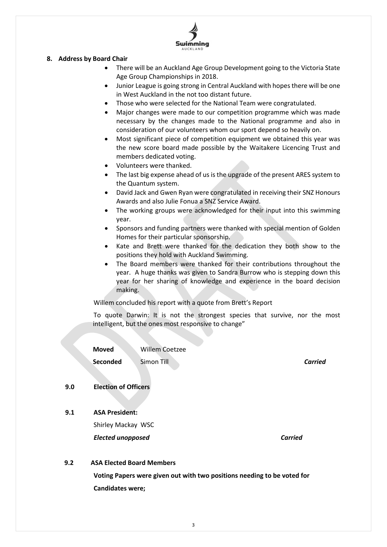Swimming

#### **8. Address by Board Chair**

- There will be an Auckland Age Group Development going to the Victoria State Age Group Championships in 2018.
- Junior League is going strong in Central Auckland with hopes there will be one in West Auckland in the not too distant future.
- Those who were selected for the National Team were congratulated.
- Major changes were made to our competition programme which was made necessary by the changes made to the National programme and also in consideration of our volunteers whom our sport depend so heavily on.
- Most significant piece of competition equipment we obtained this year was the new score board made possible by the Waitakere Licencing Trust and members dedicated voting.
- Volunteers were thanked.
- The last big expense ahead of us is the upgrade of the present ARES system to the Quantum system.
- David Jack and Gwen Ryan were congratulated in receiving their SNZ Honours Awards and also Julie Fonua a SNZ Service Award.
- The working groups were acknowledged for their input into this swimming year.
- Sponsors and funding partners were thanked with special mention of Golden Homes for their particular sponsorship.
- Kate and Brett were thanked for the dedication they both show to the positions they hold with Auckland Swimming.
- The Board members were thanked for their contributions throughout the year. A huge thanks was given to Sandra Burrow who is stepping down this year for her sharing of knowledge and experience in the board decision making.

Willem concluded his report with a quote from Brett's Report

To quote Darwin: It is not the strongest species that survive, nor the most intelligent, but the ones most responsive to change"

| Moved    | <b>Willem Coetzee</b> |                |
|----------|-----------------------|----------------|
| Seconded | Simon Till            | <b>Carried</b> |

#### **9.0 Election of Officers**

#### **9.1 ASA President:**

Shirley Mackay WSC *Elected unopposed Carried*

#### **9.2 ASA Elected Board Members**

**Voting Papers were given out with two positions needing to be voted for Candidates were;**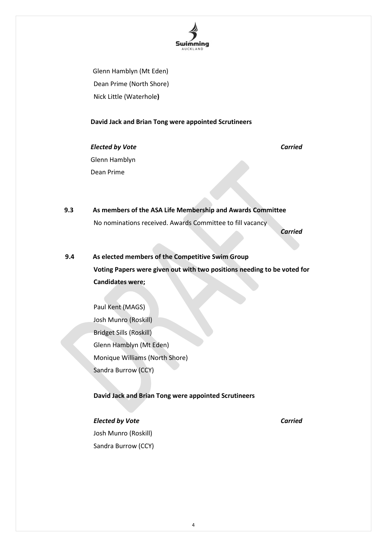

Glenn Hamblyn (Mt Eden) Dean Prime (North Shore) Nick Little (Waterhole**)**

#### **David Jack and Brian Tong were appointed Scrutineers**

### *Elected by Vote Carried* Glenn Hamblyn Dean Prime

- **9.3 As members of the ASA Life Membership and Awards Committee**
	- No nominations received. Awards Committee to fill vacancy

*Carried*

- **9.4 As elected members of the Competitive Swim Group Voting Papers were given out with two positions needing to be voted for Candidates were;**
	- Paul Kent (MAGS) Josh Munro (Roskill) Bridget Sills (Roskill) Glenn Hamblyn (Mt Eden) Monique Williams (North Shore) Sandra Burrow (CCY)

#### **David Jack and Brian Tong were appointed Scrutineers**

*Elected by Vote Carried* Josh Munro (Roskill) Sandra Burrow (CCY)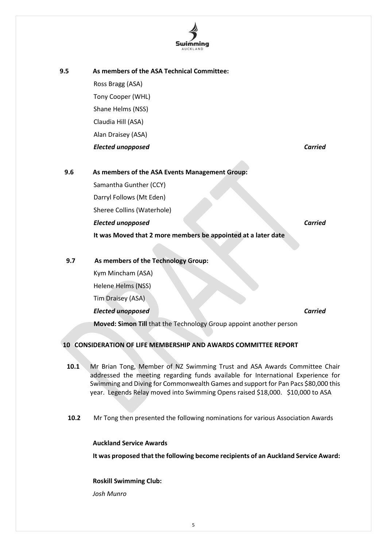

| 9.5 | As members of the ASA Technical Committee:                    |                |
|-----|---------------------------------------------------------------|----------------|
|     | Ross Bragg (ASA)                                              |                |
|     | Tony Cooper (WHL)                                             |                |
|     | Shane Helms (NSS)                                             |                |
|     | Claudia Hill (ASA)                                            |                |
|     | Alan Draisey (ASA)                                            |                |
|     | <b>Elected unopposed</b>                                      | <b>Carried</b> |
|     |                                                               |                |
| 9.6 | As members of the ASA Events Management Group:                |                |
|     | Samantha Gunther (CCY)                                        |                |
|     | Darryl Follows (Mt Eden)                                      |                |
|     | Sheree Collins (Waterhole)                                    |                |
|     | <b>Elected unopposed</b>                                      | <b>Carried</b> |
|     | It was Moved that 2 more members be appointed at a later date |                |
|     |                                                               |                |
| 9.7 | As members of the Technology Group:                           |                |
|     | Kym Mincham (ASA)                                             |                |
|     | Helene Helms (NSS)                                            |                |
|     | Tim Draisey (ASA)                                             |                |
|     | <b>Elected unopposed</b>                                      | <b>Carried</b> |
|     |                                                               |                |

#### **10 CONSIDERATION OF LIFE MEMBERSHIP AND AWARDS COMMITTEE REPORT**

- **10.1** Mr Brian Tong, Member of NZ Swimming Trust and ASA Awards Committee Chair addressed the meeting regarding funds available for International Experience for Swimming and Diving for Commonwealth Games and support for Pan Pacs \$80,000 this year. Legends Relay moved into Swimming Opens raised \$18,000. \$10,000 to ASA
- **10.2** Mr Tong then presented the following nominations for various Association Awards

#### **Auckland Service Awards**

**It was proposed that the following become recipients of an Auckland Service Award:**

**Roskill Swimming Club:** *Josh Munro*